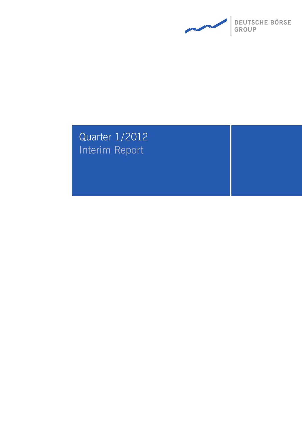

# Quarter 1/2012 Interim Report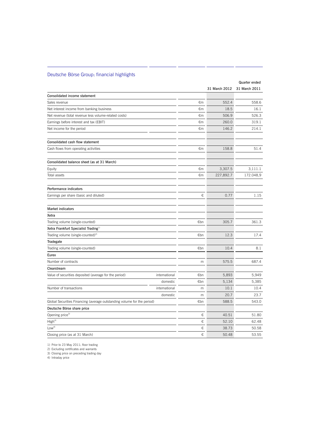## Deutsche Börse Group: financial highlights

|                                                                         |     |               | Quarter ended |
|-------------------------------------------------------------------------|-----|---------------|---------------|
|                                                                         |     | 31 March 2012 | 31 March 2011 |
| Consolidated income statement                                           |     |               |               |
| Sales revenue                                                           | €m  | 552.4         | 558.6         |
| Net interest income from banking business                               | €m  | 18.5          | 16.1          |
| Net revenue (total revenue less volume-related costs)                   | €m  | 506.9         | 526.3         |
| Earnings before interest and tax (EBIT)                                 | €m  | 260.0         | 319.1         |
| Net income for the period                                               | €m  | 146.2         | 214.1         |
| Consolidated cash flow statement                                        |     |               |               |
| Cash flows from operating activities                                    | €m  | 158.8         | 51.4          |
| Consolidated balance sheet (as at 31 March)                             |     |               |               |
| Equity                                                                  | €m  | 3,307.5       | 3,111.1       |
| Total assets                                                            | €m  | 227,892.7     | 172.048,9     |
| Performance indicators                                                  |     |               |               |
| Earnings per share (basic and diluted)                                  | €   | 0.77          | 1.15          |
| <b>Market indicators</b>                                                |     |               |               |
| Xetra                                                                   |     |               |               |
| Trading volume (single-counted)                                         | €bn | 305.7         | 361.3         |
| Xetra Frankfurt Specialist Trading <sup>1)</sup>                        |     |               |               |
| Trading volume (single-counted) <sup>2)</sup>                           | €bn | 12.3          | 17.4          |
| Tradegate                                                               |     |               |               |
| Trading volume (single-counted)                                         | €bn | 10.4          | 8.1           |
| Eurex                                                                   |     |               |               |
| Number of contracts                                                     | m   | 575.5         | 687.4         |
| Clearstream                                                             |     |               |               |
| international<br>Value of securities deposited (average for the period) | €bn | 5,893         | 5,949         |
| domestic                                                                | €bn | 5,134         | 5,385         |
| Number of transactions<br>international                                 | m   | 10.1          | 10.4          |
| domestic                                                                | m   | 20.7          | 23.7          |
| Global Securities Financing (average outstanding volume for the period) | €bn | 588.5         | 543.0         |
| Deutsche Börse share price                                              |     |               |               |
| Opening price <sup>3)</sup>                                             | €   | 40.51         | 51.80         |
| $\mathsf{High}^{4)}$                                                    | €   | 52.10         | 62.48         |
| Low <sup>4</sup>                                                        | €   | 38.73         | 50.58         |
| Closing price (as at 31 March)                                          | €   | 50.48         | 53.55         |

1) Prior to 23 May 2011: floor trading 2) Excluding certificates and warrants 3) Closing price on preceding trading day

4) Intraday price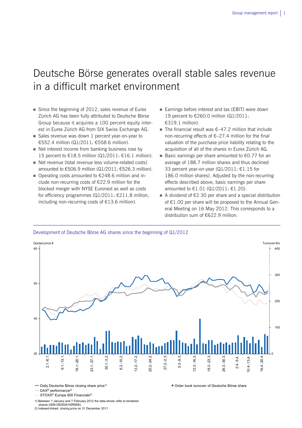## Deutsche Börse generates overall stable sales revenue in a difficult market environment

- Since the beginning of 2012, sales revenue of Eurex Zürich AG has been fully attributed to Deutsche Börse Group because it acquires a 100 percent equity interest in Eurex Zürich AG from SIX Swiss Exchange AG.
- Sales revenue was down 1 percent year-on-year to €552.4 million (Q1/2011: €558.6 million).
- $\blacksquare$  Net interest income from banking business rose by 15 percent to €18.5 million (Q1/2011: €16.1 million).
- Net revenue (total revenue less volume-related costs) amounted to €506.9 million (Q1/2011: €526.3 million).
- Operating costs amounted to  $€248.6$  million and include non-recurring costs of €22.9 million for the blocked merger with NYSE Euronext as well as costs for efficiency programmes (Q1/2011: €211.8 million, including non-recurring costs of €13.6 million).
- Earnings before interest and tax (EBIT) were down 19 percent to €260.0 million (Q1/2011: €319.1 million).
- The financial result was  $\epsilon$ -47.2 million that include non-recurring effects of €–27.4 million for the final valuation of the purchase price liability relating to the acquisition of all of the shares in Eurex Zürich AG.
- Basic earnings per share amounted to  $\epsilon$ 0.77 for an average of 188.7 million shares and thus declined 33 percent year-on-year (Q1/2011: €1.15 for 186.0 million shares). Adjusted by the non-recurring effects described above, basic earnings per share amounted to €1.01 (Q1/2011: €1.20).
- A dividend of  $\epsilon$ 2.30 per share and a special distribution of €1.00 per share will be proposed to the Annual General Meeting on 16 May 2012. This corresponds to a distribution sum of €622.9 million.

Order book turnover of Deutsche Börse share





**- Daily Deutsche Börse closing share price<sup>1)</sup>** 

- DAX<sup>®</sup> performance<sup>2)</sup>

STOXX® Europe 600 Financials2)

1) Between 1 January and 7 February 2012 the data shown refer to tendered

shares (ISIN DE000A1KRND6). 2) Indexed-linked, closing price on 31 December 2011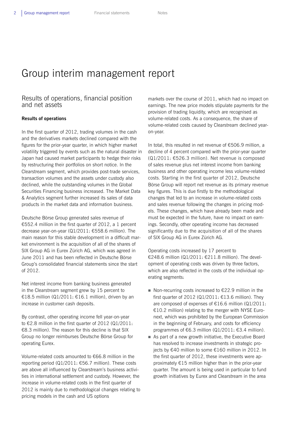## Group interim management report

## Results of operations, financial position and net assets

## **Results of operations**

In the first quarter of 2012, trading volumes in the cash and the derivatives markets declined compared with the figures for the prior-year quarter, in which higher market volatility triggered by events such as the natural disaster in Japan had caused market participants to hedge their risks by restructuring their portfolios on short notice. In the Clearstream segment, which provides post-trade services, transaction volumes and the assets under custody also declined, while the outstanding volumes in the Global Securities Financing business increased. The Market Data & Analytics segment further increased its sales of data products in the market data and information business.

Deutsche Börse Group generated sales revenue of €552.4 million in the first quarter of 2012, a 1 percent decrease year-on-year (Q1/2011: €558.6 million). The main reason for this stable development in a difficult market environment is the acquisition of all of the shares of SIX Group AG in Eurex Zürich AG, which was agreed in June 2011 and has been reflected in Deutsche Börse Group's consolidated financial statements since the start of 2012.

Net interest income from banking business generated in the Clearstream segment grew by 15 percent to €18.5 million (Q1/2011: €16.1 million), driven by an increase in customer cash deposits.

By contrast, other operating income fell year-on-year to €2.8 million in the first quarter of 2012 (Q1/2011: €8.3 million). The reason for this decline is that SIX Group no longer reimburses Deutsche Börse Group for operating Eurex.

Volume-related costs amounted to €66.8 million in the reporting period (Q1/2011: €56.7 million). These costs are above all influenced by Clearstream's business activities in international settlement and custody. However, the increase in volume-related costs in the first quarter of 2012 is mainly due to methodological changes relating to pricing models in the cash and US options

markets over the course of 2011, which had no impact on earnings. The new price models stipulate payments for the provision of trading liquidity, which are recognised as volume-related costs. As a consequence, the share of volume-related costs caused by Clearstream declined yearon-year.

In total, this resulted in net revenue of €506.9 million, a decline of 4 percent compared with the prior-year quarter (Q1/2011: €526.3 million). Net revenue is composed of sales revenue plus net interest income from banking business and other operating income less volume-related costs. Starting in the first quarter of 2012, Deutsche Börse Group will report net revenue as its primary revenue key figures. This is due firstly to the methodological changes that led to an increase in volume-related costs and sales revenue following the changes in pricing models. These changes, which have already been made and must be expected in the future, have no impact on earnings. Secondly, other operating income has decreased significantly due to the acquisition of all of the shares of SIX Group AG in Eurex Zürich AG.

Operating costs increased by 17 percent to €248.6 million (Q1/2011: €211.8 million). The development of operating costs was driven by three factors, which are also reflected in the costs of the individual operating segments:

- Non-recurring costs increased to  $£22.9$  million in the first quarter of 2012 (Q1/2011: €13.6 million). They are composed of expenses of €16.6 million (Q1/2011: €10.2 million) relating to the merger with NYSE Euronext, which was prohibited by the European Commission in the beginning of February, and costs for efficiency programmes of €6.3 million (Q1/2011: €3.4 million).
- As part of a new growth initiative, the Executive Board has resolved to increase investments in strategic projects by €40 million to some €160 million in 2012. In the first quarter of 2012, these investments were approximately €15 million higher than in the prior-year quarter. The amount is being used in particular to fund growth initiatives by Eurex and Clearstream in the area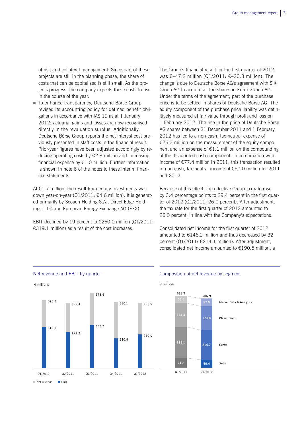of risk and collateral management. Since part of these projects are still in the planning phase, the share of costs that can be capitalised is still small. As the projects progress, the company expects these costs to rise in the course of the year.

■ To enhance transparency, Deutsche Börse Group revised its accounting policy for defined benefit obligations in accordance with IAS 19 as at 1 January 2012: actuarial gains and losses are now recognised directly in the revaluation surplus. Additionally, Deutsche Börse Group reports the net interest cost previously presented in staff costs in the financial result. Prior-year figures have been adjusted accordingly by reducing operating costs by €2.8 million and increasing financial expense by  $E1.0$  million. Further information is shown in note 6 of the notes to these interim financial statements.

At €1.7 million, the result from equity investments was down year-on-year (Q1/2011: €4.6 million). It is generated primarily by Scoach Holding S.A., Direct Edge Holdings, LLC and European Energy Exchange AG (EEX).

EBIT declined by 19 percent to  $\epsilon$ 260.0 million (Q1/2011: €319.1 million) as a result of the cost increases.

The Group's financial result for the first quarter of 2012 was €–47.2 million (Q1/2011: €–20.8 million). The change is due to Deutsche Börse AG's agreement with SIX Group AG to acquire all the shares in Eurex Zürich AG. Under the terms of the agreement, part of the purchase price is to be settled in shares of Deutsche Börse AG. The equity component of the purchase price liability was definitively measured at fair value through profit and loss on 1 February 2012. The rise in the price of Deutsche Börse AG shares between 31 December 2011 and 1 February 2012 has led to a non-cash, tax-neutral expense of €26.3 million on the measurement of the equity component and an expense of  $E1.1$  million on the compounding of the discounted cash component. In combination with income of €77.4 million in 2011, this transaction resulted in non-cash, tax-neutral income of €50.0 million for 2011 and 2012.

Because of this effect, the effective Group tax rate rose by 3.4 percentage points to 29.4 percent in the first quarter of 2012 (Q1/2011: 26.0 percent). After adjustment, the tax rate for the first quarter of 2012 amounted to 26.0 percent, in line with the Company's expectations.

Consolidated net income for the first quarter of 2012 amounted to  $£146.2$  million and thus decreased by 32 percent (Q1/2011: €214.1 million). After adjustment, consolidated net income amounted to €190.5 million, a



#### Net revenue and EBIT by quarter The Composition of net revenue by segment

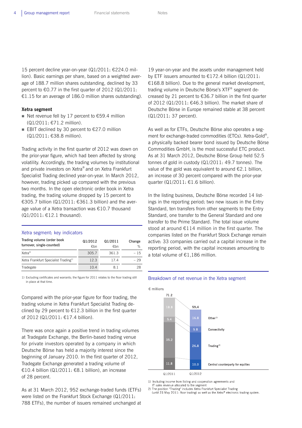15 percent decline year-on-year (Q1/2011: €224.0 million). Basic earnings per share, based on a weighted average of 188.7 million shares outstanding, declined by 33 percent to  $\epsilon$ 0.77 in the first quarter of 2012 (Q1/2011: €1.15 for an average of 186.0 million shares outstanding).

### **Xetra segment**

- Net revenue fell by 17 percent to  $£59.4$  million (Q1/2011: €71.2 million).
- EBIT declined by 30 percent to  $£27.0$  million (Q1/2011: €38.8 million).

Trading activity in the first quarter of 2012 was down on the prior-year figure, which had been affected by strong volatility. Accordingly, the trading volumes by institutional and private investors on Xetra® and on Xetra Frankfurt Specialist Trading declined year-on-year. In March 2012, however, trading picked up compared with the previous two months. In the open electronic order book in Xetra trading, the trading volume dropped by 15 percent to €305.7 billion (Q1/2011: €361.3 billion) and the average value of a Xetra transaction was €10.7 thousand (Q1/2011: €12.1 thousand).

## Xetra segment: key indicators

| Trading volume (order book<br>turnover, single-counted) | Q1/2012<br>€bn | Q1/2011<br>€bn | Change<br>% |
|---------------------------------------------------------|----------------|----------------|-------------|
| Xetra <sup>®</sup>                                      | 305.7          | 361.3          | $-15$       |
| Xetra Frankfurt Specialist Trading <sup>1)</sup>        | 12.3           | 17.4           | - 29        |
| Tradegate                                               | 10.4           | 81             | 28          |

1) Excluding certificates and warrants; the figure for 2011 relates to the floor trading still in place at that time.

Compared with the prior-year figure for floor trading, the trading volume in Xetra Frankfurt Specialist Trading declined by 29 percent to  $E12.3$  billion in the first quarter of 2012 (Q1/2011: €17.4 billion).

There was once again a positive trend in trading volumes at Tradegate Exchange, the Berlin-based trading venue for private investors operated by a company in which Deutsche Börse has held a majority interest since the beginning of January 2010. In the first quarter of 2012, Tradegate Exchange generated a trading volume of €10.4 billion (Q1/2011: €8.1 billion), an increase of 28 percent.

As at 31 March 2012, 952 exchange-traded funds (ETFs) were listed on the Frankfurt Stock Exchange (Q1/2011: 788 ETFs), the number of issuers remained unchanged at 19 year-on-year and the assets under management held by ETF issuers amounted to €172.4 billion (Q1/2011: €168.8 billion). Due to the general market development, trading volume in Deutsche Börse's XTF® segment decreased by 21 percent to €36.7 billion in the first quarter of 2012 (Q1/2011: €46.3 billion). The market share of Deutsche Börse in Europe remained stable at 38 percent (Q1/2011: 37 percent).

As well as for ETFs, Deutsche Börse also operates a segment for exchange-traded commodities (ETCs). Xetra-Gold®, a physically backed bearer bond issued by Deutsche Börse Commodities GmbH, is the most successful ETC product. As at 31 March 2012, Deutsche Börse Group held 52.5 tonnes of gold in custody (Q1/2011: 49.7 tonnes). The value of the gold was equivalent to around €2.1 billion, an increase of 30 percent compared with the prior-year quarter ( $Q1/2011: \text{£}1.6$  billion).

In the listing business, Deutsche Börse recorded 14 listings in the reporting period: two new issues in the Entry Standard, ten transfers from other segments to the Entry Standard, one transfer to the General Standard and one transfer to the Prime Standard. The total issue volume stood at around €114 million in the first quarter. The companies listed on the Frankfurt Stock Exchange remain active: 33 companies carried out a capital increase in the reporting period, with the capital increases amounting to a total volume of €1,186 million.

#### Breakdown of net revenue in the Xetra segment



1) Including income from listing and cooperation agreements and

IT sales revenue allocated to the segment

The position "Trading" includes Xetra Frankfurt Specialist Trading<br>2) The position "Trading" includes Xetra Frankfurt Specialist Trading<br>2) (until 23 May 2011: floor trading) as well as the Xetra® electronic trading system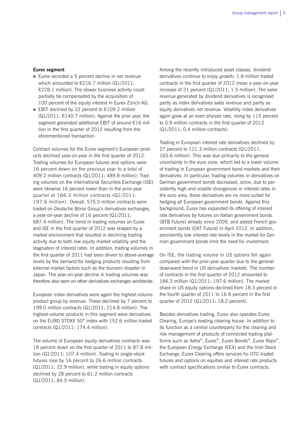### **Eurex segment**

- Eurex recorded a 5 percent decline in net revenue which amounted to €216.7 million (Q1/2011: €228.1 million). The slower business activity could partially be compensated by the acquisition of 100 percent of the equity interest in Eurex Zürich AG.
- EBIT declined by 22 percent to  $£109.2$  million (Q1/2011: €140.7 million). Against the prior year, the segment generated additional EBIT of around €16 million in the first quarter of 2012 resulting from the aforementioned transaction.

Contract volumes for the Eurex segment's European products declined year-on-year in the first quarter of 2012. Trading volumes for European futures and options were 16 percent down on the previous year to a total of 409.2 million contracts (Q1/2011: 489.8 million). Trading volumes on the International Securities Exchange (ISE) were likewise 16 percent lower than in the prior-year quarter at 166.3 million contracts (Q1/2011: 197.6 million). Overall, 575.5 million contracts were traded on Deutsche Börse Group's derivatives exchanges, a year-on-year decline of 16 percent (Q1/2011: 687.4 million). The trend in trading volumes on Eurex and ISE in the first quarter of 2012 was shaped by a market environment that resulted in declining trading activity due to both low equity market volatility and the stagnation of interest rates. In addition, trading volumes in the first quarter of 2011 had been driven to above-average levels by the demand for hedging products resulting from external market factors such as the tsunami disaster in Japan. The year-on-year decline in trading volumes was therefore also seen on other derivatives exchanges worldwide.

European index derivatives were again the highest-volume product group by revenue. These declined by 7 percent to 199.0 million contracts (Q1/2011: 214.8 million). The highest-volume products in this segment were derivatives on the EURO STOXX 50® index with 152.6 million traded contracts (Q1/2011: 174.4 million).

The volume of European equity derivatives contracts was 18 percent down on the first quarter of 2011 to 87.8 million (Q1/2011: 107.4 million). Trading in single-stock futures rose by 16 percent to 26.6 million contracts (Q1/2011: 22.9 million), while trading in equity options declined by 28 percent to 61.2 million contracts (Q1/2011: 84.5 million).

Among the recently introduced asset classes, dividend derivatives continue to enjoy growth: 1.8 million traded contracts in the first quarter of 2012 mean a year-on-year increase of 21 percent (Q1/2011: 1.5 million). The sales revenue generated by dividend derivatives is recognised partly as index derivatives sales revenue and partly as equity derivatives net revenue. Volatility index derivatives again grew at an even sharper rate, rising by 115 percent to 0.9 million contracts in the first quarter of 2012 (Q1/2011: 0.4 million contracts).

Trading in European interest rate derivatives declined by 27 percent to 121.3 million contracts (Q1/2011: 165.6 million). This was due primarily to the general uncertainty in the euro zone, which led to a lower volume of trading in European government bond markets and their derivatives. In particular, trading volumes in derivatives on German government bonds decreased, since, due to persistently high and volatile divergences in interest rates in the euro area, these derivatives are no more suited for hedging all European government bonds. Against this background, Eurex has expanded its offering of interest rate derivatives by futures on Italian government bonds (BTB Future) already since 2009, and added French government bonds (OAT Future) in April 2012. In addition, persistently low interest rate levels in the market for German government bonds limit the need for investment.

On ISE, the trading volume in US options fell again compared with the prior-year quarter due to the general downward trend in US derivatives markets. The number of contracts in the first quarter of 2012 amounted to 166.3 million (Q1/2011: 197.6 million). The market share in US equity options declined from 18.3 percent in the fourth quarter of 2011 to 16.8 percent in the first quarter of 2012 (Q1/2011: 18.2 percent).

Besides derivatives trading, Eurex also operates Eurex Clearing, Europe's leading clearing house. In addition to its function as a central counterparty for the clearing and risk management of products of connected trading platforms such as Xetra®, Eurex®, Eurex Bonds®, Eurex Repo®, the European Energy Exchange (EEX) and the Irish Stock Exchange, Eurex Clearing offers services for OTC-traded futures and options on equities and interest rate products with contract specifications similar to Eurex contracts.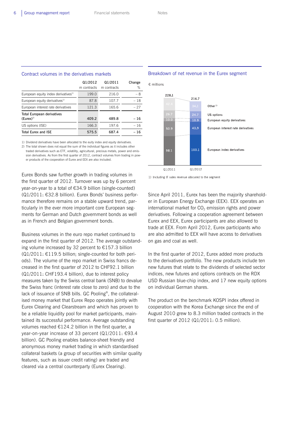|                                                    | Q1/2012<br>m contracts | Q1/2011<br>m contracts | Change<br>% |
|----------------------------------------------------|------------------------|------------------------|-------------|
| European equity index derivatives <sup>1)</sup>    | 199.0                  | 216.0                  | - 8         |
| European equity derivatives <sup>1)</sup>          | 87.8                   | 107.7                  | $-18$       |
| European interest rate derivatives                 | 121.3                  | 165.6                  | $-27$       |
| <b>Total European derivatives</b><br>$(Eures)^{2}$ | 409.2                  | 489.8                  | $-16$       |
| US options (ISE)                                   | 166.3                  | 197.6                  | $-16$       |
| <b>Total Eurex and ISE</b>                         | 575.5                  | 687.4                  | $-16$       |

#### Contract volumes in the derivatives markets

1) Dividend derivatives have been allocated to the euity index and equity derivatives. 2) The total shown does not equal the sum of the individual figures as it includes other traded derivatives such as ETF, volatility, agricultural, precious metals, power and emission derivatives. As from the first quarter of 2012, contract volumes from trading in power products of the cooperation of Eurex and EEX are also included.

Eurex Bonds saw further growth in trading volumes in the first quarter of 2012. Turnover was up by 6 percent year-on-year to a total of €34.9 billion (single-counted) (Q1/2011: €32.8 billion). Eurex Bonds' business performance therefore remains on a stable upward trend, particularly in the ever more important core European segments for German and Dutch government bonds as well as in French and Belgian government bonds.

Business volumes in the euro repo market continued to expand in the first quarter of 2012. The average outstanding volume increased by 32 percent to €157.3 billion  $(Q1/2011: \text{£}119.5$  billion; single-counted for both periods). The volume of the repo market in Swiss francs decreased in the first quarter of 2012 to CHF92.1 billion (Q1/2011: CHF193.4 billion), due to interest policy measures taken by the Swiss central bank (SNB) to devalue the Swiss franc (interest rate close to zero) and due to the lack of issuance of SNB bills. GC Pooling®, the collateralised money market that Eurex Repo operates jointly with Eurex Clearing and Clearstream and which has proven to be a reliable liquidity pool for market participants, maintained its successful performance. Average outstanding volumes reached €124.2 billion in the first quarter, a year-on-year increase of 33 percent (Q1/2011: €93.4 billion). GC Pooling enables balance-sheet friendly and anonymous money market trading in which standardised collateral baskets (a group of securities with similar quality features, such as issuer credit rating) are traded and cleared via a central counterparty (Eurex Clearing).



#### Breakdown of net revenue in the Eurex segment

1) Including IT sales revenue allocated to the segment

Since April 2011, Eurex has been the majority shareholder in European Energy Exchange (EEX). EEX operates an international market for  $CO<sub>2</sub>$  emission rights and power derivatives. Following a cooperation agreement between Eurex and EEX, Eurex participants are also allowed to trade at EEX. From April 2012, Eurex participants who are also admitted to EEX will have access to derivatives on gas and coal as well.

In the first quarter of 2012, Eurex added more products to the derivatives portfolio. The new products include ten new futures that relate to the dividends of selected sector indices, new futures and options contracts on the RDX USD Russian blue-chip index, and 17 new equity options on individual German shares.

The product on the benchmark KOSPI index offered in cooperation with the Korea Exchange since the end of August 2010 grew to 8.3 million traded contracts in the first quarter of 2012 (Q1/2011: 0.5 million).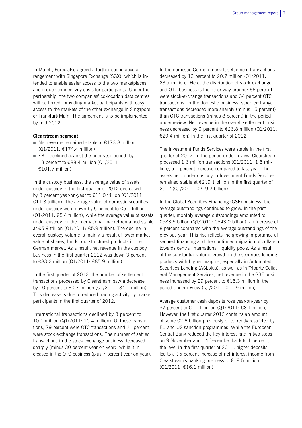In March, Eurex also agreed a further cooperative arrangement with Singapore Exchange (SGX), which is intended to enable easier access to the two marketplaces and reduce connectivity costs for participants. Under the partnership, the two companies' co-location data centres will be linked, providing market participants with easy access to the markets of the other exchange in Singapore or Frankfurt/Main. The agreement is to be implemented by mid-2012.

#### **Clearstream segment**

- Net revenue remained stable at  $£173.8$  million (Q1/2011: €174.4 million).
- $\blacksquare$  EBIT declined against the prior-year period, by 13 percent to €88.4 million (Q1/2011: €101.7 million).

In the custody business, the average value of assets under custody in the first quarter of 2012 decreased by 3 percent year-on-year to €11.0 trillion (Q1/2011: €11.3 trillion). The average value of domestic securities under custody went down by 5 percent to €5.1 trillion  $(Q1/2011: \text{€}5.4$  trillion), while the average value of assets under custody for the international market remained stable at €5.9 trillion (Q1/2011: €5.9 trillion). The decline in overall custody volume is mainly a result of lower market value of shares, funds and structured products in the German market. As a result, net revenue in the custody business in the first quarter 2012 was down 3 percent to €83.2 million (Q1/2011: €85.9 million).

In the first quarter of 2012, the number of settlement transactions processed by Clearstream saw a decrease by 10 percent to 30.7 million (Q1/2011: 34.1 million). This decrease is due to reduced trading activity by market participants in the first quarter of 2012.

International transactions declined by 3 percent to 10.1 million (Q1/2011: 10.4 million). Of these transactions, 79 percent were OTC transactions and 21 percent were stock exchange transactions. The number of settled transactions in the stock-exchange business decreased sharply (minus 30 percent year-on-year), while it increased in the OTC business (plus 7 percent year-on-year).

In the domestic German market, settlement transactions decreased by 13 percent to 20.7 million (Q1/2011: 23.7 million). Here, the distribution of stock-exchange and OTC business is the other way around: 66 percent were stock-exchange transactions and 34 percent OTC transactions. In the domestic business, stock-exchange transactions decreased more sharply (minus 15 percent) than OTC transactions (minus 8 percent) in the period under review. Net revenue in the overall settlement business decreased by 9 percent to €26.8 million (Q1/2011: €29.4 million) in the first quarter of 2012.

The Investment Funds Services were stable in the first quarter of 2012. In the period under review, Clearstream processed 1.6 million transactions (Q1/2011: 1.5 million), a 1 percent increase compared to last year. The assets held under custody in Investment Funds Services remained stable at  $\epsilon$ 219.1 billion in the first quarter of 2012 (Q1/2011: €219.2 billion).

In the Global Securities Financing (GSF) business, the average outstandings continued to grow. In the past quarter, monthly average outstandings amounted to €588.5 billion (Q1/2011: €543.0 billion), an increase of 8 percent compared with the average outstandings of the previous year. This rise reflects the growing importance of secured financing and the continued migration of collateral towards central international liquidity pools. As a result of the substantial volume growth in the securities lending products with higher margins, especially in Automated Securities Lending (ASLplus), as well as in Triparty Collateral Management Services, net revenue in the GSF business increased by 29 percent to €15.3 million in the period under review (Q1/2011: €11.9 million).

Average customer cash deposits rose year-on-year by 37 percent to €11.1 billion  $\left( \frac{Q1}{2011} \right)$ : €8.1 billion). However, the first quarter 2012 contains an amount of some €2.6 billion previously or currently restricted by EU and US sanction programmes. While the European Central Bank reduced the key interest rate in two steps on 9 November and 14 December back to 1 percent, the level in the first quarter of 2011, higher deposits led to a 15 percent increase of net interest income from Clearstream's banking business to €18.5 million (Q1/2011: €16.1 million).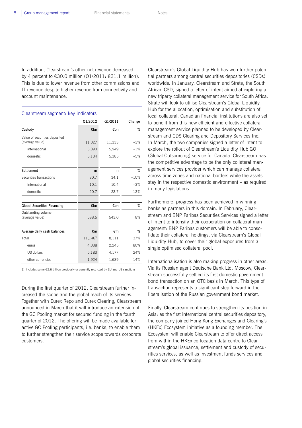In addition, Clearstream's other net revenue decreased by 4 percent to  $\epsilon$ 30.0 million (Q1/2011:  $\epsilon$ 31.1 million). This is due to lower revenue from other commissions and IT revenue despite higher revenue from connectivity and account maintenance.

#### Clearstream segment: key indicators

|                                       | Q1/2012       | Q1/2011 | Change |
|---------------------------------------|---------------|---------|--------|
| Custody                               | €bn           | €bn     | %      |
| Value of securities deposited         |               |         |        |
| (average value)                       | 11,027        | 11,333  | $-3%$  |
| international                         | 5,893         | 5,949   | $-1%$  |
| domestic                              | 5,134         | 5,385   | $-5%$  |
|                                       |               |         |        |
| Settlement                            | m             | m       | %      |
| Securities transactions               | 30.7          | 34.1    | $-10%$ |
| international                         | 10.1          | 10.4    | $-3%$  |
| domestic                              | 20.7          | 23.7    | $-13%$ |
|                                       |               |         |        |
| <b>Global Securities Financing</b>    | €bn           | €bn     | %      |
| Outstanding volume<br>(average value) | 588.5         | 543.0   | 8%     |
|                                       |               |         |        |
| Average daily cash balances           | €m            | €m      | %      |
| Total                                 | $11,146^{11}$ | 8,111   | 37%    |
| euros                                 | 4,038         | 2,245   | 80%    |
| US dollars                            | 5,183         | 4,177   | 24%    |
| other currencies                      | 1,924         | 1,689   | 14%    |

1) Includes some €2.6 billion previously or currently restricted by EU and US sanctions

During the first quarter of 2012, Clearstream further increased the scope and the global reach of its services. Together with Eurex Repo and Eurex Clearing, Clearstream announced in March that it will introduce an extension of the GC Pooling market for secured funding in the fourth quarter of 2012. The offering will be made available for active GC Pooling participants, i.e. banks, to enable them to further strengthen their service scope towards corporate customers.

Clearstream's Global Liquidity Hub has won further potential partners among central securities depositories (CSDs) worldwide: in January, Clearstream and Strate, the South African CSD, signed a letter of intent aimed at exploring a new triparty collateral management service for South Africa. Strate will look to utilise Clearstream's Global Liquidity Hub for the allocation, optimisation and substitution of local collateral. Canadian financial institutions are also set to benefit from this new efficient and effective collateral management service planned to be developed by Clearstream and CDS Clearing and Depository Services Inc. In March, the two companies signed a letter of intent to explore the rollout of Clearstream's Liquidity Hub GO (Global Outsourcing) service for Canada. Clearstream has the competitive advantage to be the only collateral management services provider which can manage collateral across time zones and national borders while the assets stay in the respective domestic environment – as required in many legislations.

Furthermore, progress has been achieved in winning banks as partners in this domain. In February, Clearstream and BNP Paribas Securities Services signed a letter of intent to intensify their cooperation on collateral management: BNP Paribas customers will be able to consolidate their collateral holdings, via Clearstream's Global Liquidity Hub, to cover their global exposures from a single optimised collateral pool.

Internationalisation is also making progress in other areas. Via its Russian agent Deutsche Bank Ltd. Moscow, Clearstream successfully settled its first domestic government bond transaction on an OTC basis in March. This type of transaction represents a significant step forward in the liberalisation of the Russian government bond market.

Finally, Clearstream continues to strengthen its position in Asia: as the first international central securities depository, the company joined Hong Kong Exchanges and Clearing's (HKEx) Ecosystem initiative as a founding member. The Ecosystem will enable Clearstream to offer direct access from within the HKEx co-location data centre to Clearstream's global issuance, settlement and custody of securities services, as well as investment funds services and global securities financing.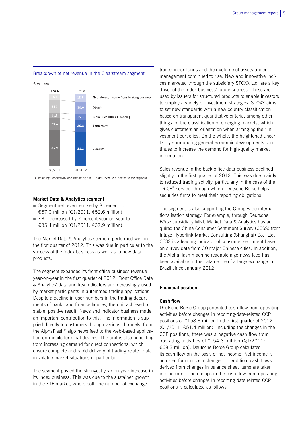#### Breakdown of net revenue in the Clearstream segment



1) Including Connectivity and Reporting and IT sales revenue allocated to the segment

#### **Market Data & Analytics segment**

- Segment net revenue rose by 8 percent to €57.0 million (Q1/2011: €52.6 million).
- EBIT decreased by 7 percent year-on-year to €35.4 million (Q1/2011: €37.9 million).

The Market Data & Analytics segment performed well in the first quarter of 2012. This was due in particular to the success of the index business as well as to new data products.

The segment expanded its front office business revenue year-on-year in the first quarter of 2012. Front Office Data & Analytics' data and key indicators are increasingly used by market participants in automated trading applications. Despite a decline in user numbers in the trading departments of banks and finance houses, the unit achieved a stable, positive result. News and indicator business made an important contribution to this. The information is supplied directly to customers through various channels, from the AlphaFlash® algo news feed to the web-based application on mobile terminal devices. The unit is also benefiting from increasing demand for direct connections, which ensure complete and rapid delivery of trading-related data in volatile market situations in particular.

The segment posted the strongest year-on-year increase in its index business. This was due to the sustained growth in the ETF market, where both the number of exchangetraded index funds and their volume of assets under management continued to rise. New and innovative indices marketed through the subsidiary STOXX Ltd. are a key driver of the index business' future success. These are used by issuers for structured products to enable investors to employ a variety of investment strategies. STOXX aims to set new standards with a new country classification based on transparent quantitative criteria, among other things for the classification of emerging markets, which gives customers an orientation when arranging their investment portfolios. On the whole, the heightened uncertainty surrounding general economic developments continues to increase the demand for high-quality market information.

Sales revenue in the back office data business declined slightly in the first quarter of 2012. This was due mainly to reduced trading activity, particularly in the case of the TRICE® service, through which Deutsche Börse helps securities firms to meet their reporting obligations.

The segment is also supporting the Group-wide internationalisation strategy. For example, through Deutsche Börse subsidiary MNI, Market Data & Analytics has acquired the China Consumer Sentiment Survey (CCSS) from Intage Hyperlink Market Consulting (Shanghai) Co., Ltd. CCSS is a leading indicator of consumer sentiment based on survey data from 30 major Chinese cities. In addition, the AlphaFlash machine-readable algo news feed has been available in the data centre of a large exchange in Brazil since January 2012.

#### **Financial position**

## **Cash flow**

Deutsche Börse Group generated cash flow from operating activities before changes in reporting-date-related CCP positions of €158.8 million in the first quarter of 2012  $(Q1/2011: \text{£}51.4$  million). Including the changes in the CCP positions, there was a negative cash flow from operating activities of €–54.3 million (Q1/2011: €68.3 million). Deutsche Börse Group calculates its cash flow on the basis of net income. Net income is adjusted for non-cash changes; in addition, cash flows derived from changes in balance sheet items are taken into account. The change in the cash flow from operating activities before changes in reporting-date-related CCP positions is calculated as follows: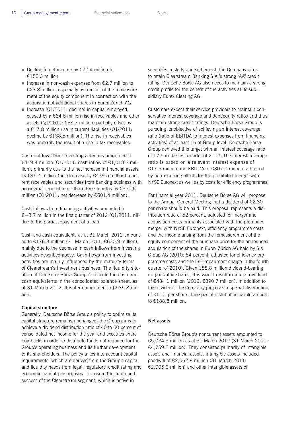- Decline in net income by €70.4 million to €150.3 million
- Increase in non-cash expenses from  $\epsilon$ 2.7 million to €28.8 million, especially as a result of the remeasurement of the equity component in connection with the acquisition of additional shares in Eurex Zürich AG
- Increase  $\left( \frac{Q1}{2011} \right)$ : decline) in capital employed, caused by a €64.6 million rise in receivables and other assets (Q1/2011: €58.7 million) partially offset by  $a \in 17.8$  million rise in current liabilities (Q1/2011: decline by €138.5 million). The rise in receivables was primarily the result of a rise in tax receivables.

Cash outflows from investing activities amounted to €419.4 million (Q1/2011: cash inflow of  $€1,018.2$  million), primarily due to the net increase in financial assets by €45.4 million (net decrease by €439.5 million), current receivables and securities from banking business with an original term of more than three months by €351.6 million (Q1/2011: net decrease by €601.4 million).

Cash inflows from financing activities amounted to €−3.7 million in the first quarter of 2012 (Q1/2011: nil) due to the partial repayment of a loan.

Cash and cash equivalents as at 31 March 2012 amounted to €176.8 million (31 March 2011: €630.9 million), mainly due to the decrease in cash inflows from investing activities described above. Cash flows from investing activities are mainly influenced by the maturity terms of Clearstream's investment business. The liquidity situation of Deutsche Börse Group is reflected in cash and cash equivalents in the consolidated balance sheet; as at 31 March 2012, this item amounted to €935.8 million.

#### **Capital structure**

Generally, Deutsche Börse Group's policy to optimize its capital structure remains unchanged: the Group aims to achieve a dividend distribution ratio of 40 to 60 percent of consolidated net income for the year and executes share buy-backs in order to distribute funds not required for the Group's operating business and its further development to its shareholders. The policy takes into account capital requirements, which are derived from the Group's capital and liquidity needs from legal, regulatory, credit rating and economic capital perspectives. To ensure the continued success of the Clearstream segment, which is active in

securities custody and settlement, the Company aims to retain Clearstream Banking S.A.'s strong "AA" credit rating. Deutsche Börse AG also needs to maintain a strong credit profile for the benefit of the activities at its subsidiary Eurex Clearing AG.

Customers expect their service providers to maintain conservative interest coverage and debt/equity ratios and thus maintain strong credit ratings. Deutsche Börse Group is pursuing its objective of achieving an interest coverage ratio (ratio of EBITDA to interest expenses from financing activities) of at least 16 at Group level. Deutsche Börse Group achieved this target with an interest coverage ratio of 17.5 in the first quarter of 2012. The interest coverage ratio is based on a relevant interest expense of €17.5 million and EBITDA of €307.0 million, adjusted by non-recurring effects for the prohibited merger with NYSE Euronext as well as by costs for efficiency programmes.

For financial year 2011, Deutsche Börse AG will propose to the Annual General Meeting that a dividend of €2.30 per share should be paid. This proposal represents a distribution ratio of 52 percent, adjusted for merger and acquisition costs primarily associated with the prohibited merger with NYSE Euronext, efficiency programme costs and the income arising from the remeasurement of the equity component of the purchase price for the announced acquisition of the shares in Eurex Zürich AG held by SIX Group AG (2010: 54 percent, adjusted for efficiency programme costs and the ISE impairment charge in the fourth quarter of 2010). Given 188.8 million dividend-bearing no-par value shares, this would result in a total dividend of €434.1 million (2010: €390.7 million). In addition to this dividend, the Company proposes a special distribution of €1.00 per share. The special distribution would amount to €188.8 million.

#### **Net assets**

Deutsche Börse Group's noncurrent assets amounted to €5,024.3 million as at 31 March 2012 (31 March 2011: €4,759.2 million). They consisted primarily of intangible assets and financial assets. Intangible assets included goodwill of €2,062.8 million (31 March 2011: €2,005.9 million) and other intangible assets of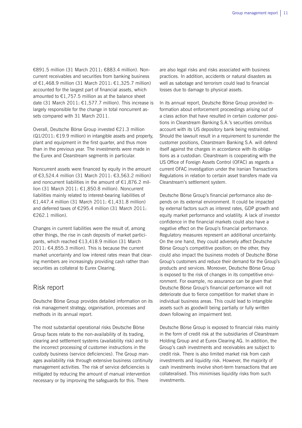€891.5 million (31 March 2011: €883.4 million). Noncurrent receivables and securities from banking business of €1,468.9 million (31 March 2011: €1,325.7 million) accounted for the largest part of financial assets, which amounted to  $£1,757.5$  million as at the balance sheet date (31 March 2011: €1,577.7 million). This increase is largely responsible for the change in total noncurrent assets compared with 31 March 2011.

Overall, Deutsche Börse Group invested €21.3 million (Q1/2011: €19.9 million) in intangible assets and property, plant and equipment in the first quarter, and thus more than in the previous year. The investments were made in the Eurex and Clearstream segments in particular.

Noncurrent assets were financed by equity in the amount of €3,524.4 million (31 March 2011: €3,563.2 million) and noncurrent liabilities in the amount of €1,876.2 million (31 March 2011: €1,850.8 million). Noncurrent liabilities mainly related to interest-bearing liabilities of €1,447.4 million (31 March 2011: €1,431.8 million) and deferred taxes of €295.4 million (31 March 2011: €262.1 million).

Changes in current liabilities were the result of, among other things, the rise in cash deposits of market participants, which reached €13,418.9 million (31 March 2011: €4,855.3 million). This is because the current market uncertainty and low interest rates mean that clearing members are increasingly providing cash rather than securities as collateral to Eurex Clearing.

## Risk report

Deutsche Börse Group provides detailed information on its risk management strategy, organisation, processes and methods in its annual report.

The most substantial operational risks Deutsche Börse Group faces relate to the non-availability of its trading, clearing and settlement systems (availability risk) and to the incorrect processing of customer instructions in the custody business (service deficiencies). The Group manages availability risk through extensive business continuity management activities. The risk of service deficiencies is mitigated by reducing the amount of manual intervention necessary or by improving the safeguards for this. There

are also legal risks and risks associated with business practices. In addition, accidents or natural disasters as well as sabotage and terrorism could lead to financial losses due to damage to physical assets.

In its annual report, Deutsche Börse Group provided information about enforcement proceedings arising out of a class action that have resulted in certain customer positions in Clearstream Banking S.A.'s securities omnibus account with its US depository bank being restrained. Should the lawsuit result in a requirement to surrender the customer positions, Clearstream Banking S.A. will defend itself against the charges in accordance with its obligations as a custodian. Clearstream is cooperating with the US Office of Foreign Assets Control (OFAC) as regards a current OFAC investigation under the Iranian Transactions Regulations in relation to certain asset transfers made via Clearstream's settlement system.

Deutsche Börse Group's financial performance also depends on its external environment. It could be impacted by external factors such as interest rates, GDP growth and equity market performance and volatility. A lack of investor confidence in the financial markets could also have a negative effect on the Group's financial performance. Regulatory measures represent an additional uncertainty. On the one hand, they could adversely affect Deutsche Börse Group's competitive position; on the other, they could also impact the business models of Deutsche Börse Group's customers and reduce their demand for the Group's products and services. Moreover, Deutsche Börse Group is exposed to the risk of changes in its competitive environment. For example, no assurance can be given that Deutsche Börse Group's financial performance will not deteriorate due to fierce competition for market share in individual business areas. This could lead to intangible assets such as goodwill being partially or fully written down following an impairment test.

Deutsche Börse Group is exposed to financial risks mainly in the form of credit risk at the subsidiaries of Clearstream Holding Group and at Eurex Clearing AG. In addition, the Group's cash investments and receivables are subject to credit risk. There is also limited market risk from cash investments and liquidity risk. However, the majority of cash investments involve short-term transactions that are collateralised. This minimises liquidity risks from such investments.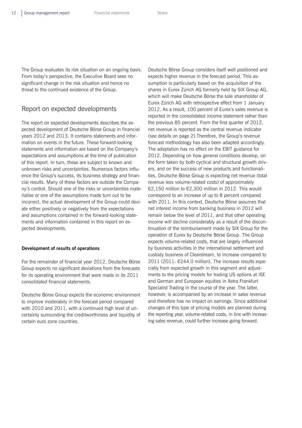The Group evaluates its risk situation on an ongoing basis. From today's perspective, the Executive Board sees no significant change in the risk situation and hence no threat to the continued existence of the Group.

## Report on expected developments

The report on expected developments describes the expected development of Deutsche Börse Group in financial years 2012 and 2013. It contains statements and information on events in the future. These forward-looking statements and information are based on the Company's expectations and assumptions at the time of publication of this report. In turn, these are subject to known and unknown risks and uncertainties. Numerous factors influence the Group's success, its business strategy and financial results. Many of these factors are outside the Company's control. Should one of the risks or uncertainties materialise or one of the assumptions made turn out to be incorrect, the actual development of the Group could deviate either positively or negatively from the expectations and assumptions contained in the forward-looking statements and information contained in this report on expected developments.

## **Development of results of operations**

For the remainder of financial year 2012, Deutsche Börse Group expects no significant deviations from the forecasts for its operating environment that were made in its 2011 consolidated financial statements.

Deutsche Börse Group expects the economic environment to improve moderately in the forecast period compared with 2010 and 2011, with a continued high level of uncertainty surrounding the creditworthiness and liquidity of certain euro zone countries.

Deutsche Börse Group considers itself well positioned and expects higher revenue in the forecast period. This assumption is particularly based on the acquisition of the shares in Eurex Zürich AG formerly held by SIX Group AG, which will make Deutsche Börse the sole shareholder of Eurex Zürich AG with retrospective effect from 1 January 2012. As a result, 100 percent of Eurex's sales revenue is reported in the consolidated income statement rather than the previous 85 percent. From the first quarter of 2012, net revenue is reported as the central revenue indicator (see details on page 2).Therefore, the Group's revenue forecast methodology has also been adapted accordingly. The adaptation has no effect on the EBIT guidance for 2012. Depending on how general conditions develop, on the form taken by both cyclical and structural growth drivers, and on the success of new products and functionalities, Deutsche Börse Group is expecting net revenue (total revenue less volume-related costs) of approximately €2,150 million to €2,300 million in 2012. This would correspond to an increase of up to 8 percent compared with 2011. In this context, Deutsche Börse assumes that net interest income from banking business in 2012 will remain below the level of 2011, and that other operating income will decline considerably as a result of the discontinuation of the reimbursement made by SIX Group for the operation of Eurex by Deutsche Börse Group. The Group expects volume-related costs, that are largely influenced by business activities in the international settlement and custody business of Clearstream, to increase compared to 2011 (2011: €244.0 million). The increase results especially from expected growth in this segment and adjustments to the pricing models for trading US options at ISE and German and European equities in Xetra Frankfurt Specialist Trading in the course of the year. The latter, however, is accompanied by an increase in sales revenue and therefore has no impact on earnings. Since additional changes of this type of pricing models are planned during the reporting year, volume-related costs, in line with increasing sales revenue, could further increase going forward.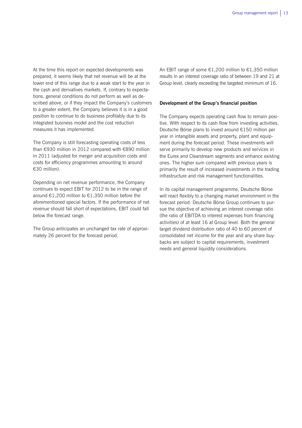At the time this report on expected developments was prepared, it seems likely that net revenue will be at the lower end of this range due to a weak start to the year in the cash and derivatives markets. If, contrary to expectations, general conditions do not perform as well as described above, or if they impact the Company's customers to a greater extent, the Company believes it is in a good position to continue to do business profitably due to its integrated business model and the cost reduction measures it has implemented.

The Company is still forecasting operating costs of less than €930 million in 2012 compared with €890 million in 2011 (adjusted for merger and acquisition costs and costs for efficiency programmes amounting to around €30 million).

Depending on net revenue performance, the Company continues to expect EBIT for 2012 to be in the range of around €1,200 million to €1,350 million before the aforementioned special factors. If the performance of net revenue should fall short of expectations, EBIT could fall below the forecast range.

The Group anticipates an unchanged tax rate of approximately 26 percent for the forecast period.

An EBIT range of some €1,200 million to €1,350 million results in an interest coverage ratio of between 19 and 21 at Group level, clearly exceeding the targeted minimum of 16.

#### **Development of the Group's financial position**

The Company expects operating cash flow to remain positive. With respect to its cash flow from investing activities, Deutsche Börse plans to invest around €150 million per year in intangible assets and property, plant and equipment during the forecast period. These investments will serve primarily to develop new products and services in the Eurex and Clearstream segments and enhance existing ones. The higher sum compared with previous years is primarily the result of increased investments in the trading infrastructure and risk management functionalities.

In its capital management programme, Deutsche Börse will react flexibly to a changing market environment in the forecast period. Deutsche Börse Group continues to pursue the objective of achieving an interest coverage ratio (the ratio of EBITDA to interest expenses from financing activities) of at least 16 at Group level. Both the general target dividend distribution ratio of 40 to 60 percent of consolidated net income for the year and any share buybacks are subject to capital requirements, investment needs and general liquidity considerations.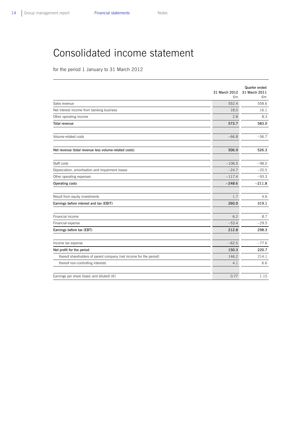## Consolidated income statement

for the period 1 January to 31 March 2012

|                                                                    | 31 March 2012<br>€m | Quarter ended<br>31 March 2011<br>€m |
|--------------------------------------------------------------------|---------------------|--------------------------------------|
| Sales revenue                                                      | 552.4               | 558.6                                |
| Net interest income from banking business                          | 18.5                | 16.1                                 |
| Other operating income                                             | 2.8                 | 8.3                                  |
| <b>Total revenue</b>                                               | 573.7               | 583.0                                |
| Volume-related costs                                               | $-66.8$             | $-56.7$                              |
| Net revenue (total revenue less volume-related costs)              | 506.9               | 526.3                                |
| Staff costs                                                        | $-106.5$            | $-98.0$                              |
| Depreciation, amortisation and impairment losses                   | $-24.7$             | $-20.5$                              |
| Other operating expenses                                           | $-117.4$            | $-93.3$                              |
| Operating costs                                                    | $-248.6$            | $-211.8$                             |
| Result from equity investments                                     | 1.7                 | 4.6                                  |
| Earnings before interest and tax (EBIT)                            | 260.0               | 319.1                                |
| Financial income                                                   | 6.2                 | 8.7                                  |
| Financial expense                                                  | $-53.4$             | $-29.5$                              |
| Earnings before tax (EBT)                                          | 212.8               | 298.3                                |
| Income tax expense                                                 | $-62.5$             | $-77.6$                              |
| Net profit for the period                                          | 150.3               | 220.7                                |
| thereof shareholders of parent company (net income for the period) | 146.2               | 214.1                                |
| thereof non-controlling interests                                  | 4.1                 | 6.6                                  |
| Earnings per share (basic and diluted) $(\epsilon)$                | 0.77                | 1.15                                 |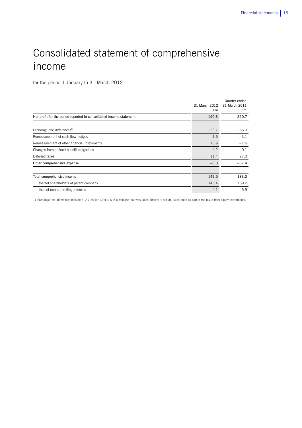# Consolidated statement of comprehensive income

for the period 1 January to 31 March 2012

|                                                                     | 31 March 2012<br>€m | Quarter ended<br>31 March 2011<br>€m |
|---------------------------------------------------------------------|---------------------|--------------------------------------|
| Net profit for the period reported in consolidated income statement | 150.3               | 220.7                                |
|                                                                     |                     |                                      |
| Exchange rate differences <sup>1)</sup>                             | $-33.7$             | $-66.0$                              |
| Remeasurement of cash flow hedges                                   | $-1.6$              | 3.1                                  |
| Remeasurement of other financial instruments                        | 18.9                | $-1.6$                               |
| Changes from defined benefit obligations                            | 4.2                 | 0.1                                  |
| Deferred taxes                                                      | 11.4                | 27.0                                 |
| Other comprehensive expense                                         | $-0.8$              | $-37.4$                              |
|                                                                     |                     |                                      |
| Total comprehensive income                                          | 149.5               | 183.3                                |
| thereof shareholders of parent company                              | 145.4               | 189.2                                |
| thereof non-controlling interests                                   | 4.1                 | $-5.9$                               |

1) Exchange rate differences include €–2.7 million (2011: €–6.0 million) that was taken directly to accumulated profit as part of the result from equity investments.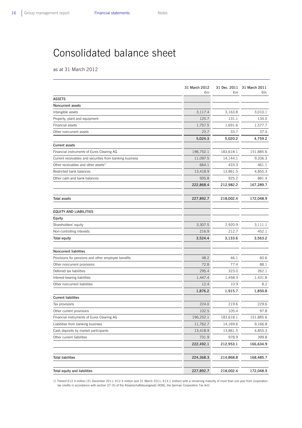## Consolidated balance sheet

as at 31 March 2012

|                                                          | 31 March 2012<br>€m | €m        | 31 Dec. 2011 31 March 2011<br>€m |
|----------------------------------------------------------|---------------------|-----------|----------------------------------|
| <b>ASSETS</b>                                            |                     |           |                                  |
| Noncurrent assets                                        |                     |           |                                  |
| Intangible assets                                        | 3,117.4             | 3,163.8   | 3,010.1                          |
| Property, plant and equipment                            | 125.7               | 131.1     | 134.0                            |
| Financial assets                                         | 1,757.5             | 1,691.6   | 1,577.7                          |
| Other noncurrent assets                                  | 23.7                | 33.7      | 37.4                             |
|                                                          | 5,024.3             | 5,020.2   | 4,759.2                          |
| <b>Current assets</b>                                    |                     |           |                                  |
| Financial instruments of Eurex Clearing AG               | 196,752.1           | 183,618.1 | 151,885.6                        |
| Current receivables and securities from banking business | 11,097.5            | 14,144.1  | 9,206.3                          |
| Other receivables and other assets <sup>1)</sup>         | 664.1               | 433.3     | 461.1                            |
| Restricted bank balances                                 | 13,418.9            | 13,861.5  | 4,855.3                          |
| Other cash and bank balances                             | 935.8               | 925.2     | 881.4                            |
|                                                          | 222,868.4           | 212,982.2 | 167,289.7                        |
|                                                          |                     |           |                                  |
| Total assets                                             | 227,892.7           | 218,002.4 | 172,048.9                        |
| <b>EQUITY AND LIABILITIES</b>                            |                     |           |                                  |
| Equity                                                   |                     |           |                                  |
| Shareholders' equity                                     | 3,307.5             | 2,920.9   | 3,111.1                          |
| Non-controlling interests                                | 216.9               | 212.7     | 452.1                            |
| Total equity                                             | 3,524.4             | 3,133.6   | 3,563.2                          |
|                                                          |                     |           |                                  |
| <b>Noncurrent liabilities</b>                            |                     |           |                                  |
| Provisions for pensions and other employee benefits      | 48.2                | 46.1      | 60.6                             |
| Other noncurrent provisions                              | 72.8                | 77.4      | 88.1                             |
| Deferred tax liabilities                                 | 295.4               | 323.0     | 262.1                            |
| Interest-bearing liabilities                             | 1,447.4             | 1,458.3   | 1,431.8                          |
| Other noncurrent liabilities                             | 12.4                | 10.9      | 8.2                              |
|                                                          | 1,876.2             | 1,915.7   | 1,850.8                          |
| <b>Current liabilities</b>                               |                     |           |                                  |
| Tax provisions                                           | 224.0               | 219.6     | 229.6                            |
| Other current provisions                                 | 102.5               | 105.4     | 97.8                             |
| Financial instruments of Eurex Clearing AG               | 196,252.1           | 183,618.1 | 151,885.6                        |
| Liabilities from banking business                        | 11,762.7            | 14,169.6  | 9,166.8                          |
| Cash deposits by market participants                     | 13,418.9            | 13,861.5  | 4,855.3                          |
| Other current liabilities                                | 731.9               | 978.9     | 399.8                            |
|                                                          | 222,492.1           | 212,953.1 | 166,634.9                        |
| <b>Total liabilities</b>                                 | 224,368.3           | 214,868.8 | 168,485.7                        |
| Total equity and liabilities                             | 227,892.7           | 218,002.4 | 172,048.9                        |

1) Thereof €12.4 million (31 December 2011: €12.4 million and 31 March 2011: €14.1 million) with a remaining maturity of more than one year from corporation tax credits in accordance with section 37 (5) of the Körperschaftsteuergesetz (KStG, the German Corporation Tax Act)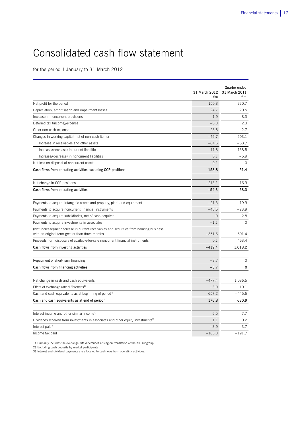# Consolidated cash flow statement

for the period 1 January to 31 March 2012

|                                                                                                                                            | 31 March 2012<br>€m | Quarter ended<br>31 March 2011<br>€m |
|--------------------------------------------------------------------------------------------------------------------------------------------|---------------------|--------------------------------------|
| Net profit for the period                                                                                                                  | 150.3               | 220.7                                |
| Depreciation, amortisation and impairment losses                                                                                           | 24.7                | 20.5                                 |
| Increase in noncurrent provisions                                                                                                          | 1.9                 | 8.3                                  |
| Deferred tax (income)/expense                                                                                                              | $-0.3$              | 2.3                                  |
| Other non-cash expense                                                                                                                     | 28.8                | 2.7                                  |
| Changes in working capital, net of non-cash items:                                                                                         | $-46.7$             | $-203.1$                             |
| Increase in receivables and other assets                                                                                                   | $-64.6$             | $-58.7$                              |
| Increase/(decrease) in current liabilities                                                                                                 | 17.8                | $-138.5$                             |
| Increase/(decrease) in noncurrent liabilities                                                                                              | 0.1                 | $-5.9$                               |
| Net loss on disposal of noncurrent assets                                                                                                  | 0.1                 | $\circ$                              |
| Cash flows from operating activities excluding CCP positions                                                                               | 158.8               | 51.4                                 |
| Net change in CCP positions                                                                                                                | $-213.1$            | 16.9                                 |
| Cash flows from operating activities                                                                                                       | $-54.3$             | 68.3                                 |
| Payments to acquire intangible assets and property, plant and equipment                                                                    | $-21.3$             | $-19.9$                              |
| Payments to acquire noncurrent financial instruments                                                                                       | $-45.5$             | $-23.9$                              |
| Payments to acquire subsidiaries, net of cash acquired                                                                                     | $\Omega$            | $-2.8$                               |
| Payments to acquire investments in associates                                                                                              | $-1.1$              | $\Omega$                             |
| (Net increase)/net decrease in current receivables and securities from banking business<br>with an original term greater than three months | $-351.6$            | 601.4                                |
| Proceeds from disposals of available-for-sale noncurrent financial instruments                                                             | 0.1                 | 463.4                                |
| Cash flows from investing activities                                                                                                       | $-419.4$            | 1,018.2                              |
| Repayment of short-term financing                                                                                                          | $-3.7$              | $\circ$                              |
| Cash flows from financing activities                                                                                                       | $-3.7$              | $\Omega$                             |
|                                                                                                                                            |                     |                                      |
| Net change in cash and cash equivalents                                                                                                    | $-477.4$            | 1.086.5                              |
| Effect of exchange rate differences <sup>1)</sup>                                                                                          | $-3.0$              | $-10.1$                              |
| Cash and cash equivalents as at beginning of period <sup>2)</sup>                                                                          | 657.2               | $-445.5$                             |
| Cash and cash equivalents as at end of period <sup>2)</sup>                                                                                | 176.8               | 630.9                                |
| Interest income and other similar income <sup>3)</sup>                                                                                     | 6.5                 | 7.7                                  |
| Dividends received from investments in associates and other equity investments <sup>3)</sup>                                               | 1.1                 | 0.2                                  |
| Interest paid $3$                                                                                                                          | $-3.9$              | $-3.7$                               |
| Income tax paid                                                                                                                            | $-103.3$            | $-191.7$                             |

1) Primarily includes the exchange rate differences arising on translation of the ISE subgroup

2) Excluding cash deposits by market participants 3) Interest and dividend payments are allocated to cashflows from operating activities.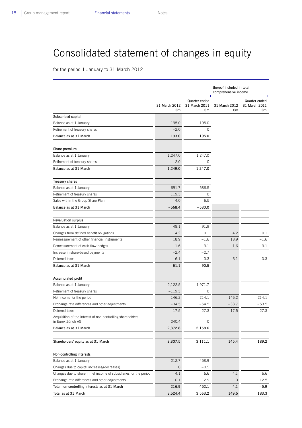# Consolidated statement of changes in equity

for the period 1 January to 31 March 2012

|                                                                                          |                     |                                      | thereof included in total<br>comprehensive income |                                      |  |
|------------------------------------------------------------------------------------------|---------------------|--------------------------------------|---------------------------------------------------|--------------------------------------|--|
|                                                                                          | 31 March 2012<br>€m | Quarter ended<br>31 March 2011<br>€m | 31 March 2012<br>€m                               | Quarter ended<br>31 March 2011<br>€m |  |
| Subscribed capital                                                                       |                     |                                      |                                                   |                                      |  |
| Balance as at 1 January                                                                  | 195.0               | 195.0                                |                                                   |                                      |  |
| Retirement of treasury shares                                                            | $-2.0$              | $\Omega$                             |                                                   |                                      |  |
| Balance as at 31 March                                                                   | 193.0               | 195.0                                |                                                   |                                      |  |
| Share premium                                                                            |                     |                                      |                                                   |                                      |  |
| Balance as at 1 January                                                                  | 1,247.0             | 1,247.0                              |                                                   |                                      |  |
| Retirement of treasury shares                                                            | 2.0                 | $\Omega$                             |                                                   |                                      |  |
| Balance as at 31 March                                                                   | 1,249.0             | 1,247.0                              |                                                   |                                      |  |
| <b>Treasury shares</b>                                                                   |                     |                                      |                                                   |                                      |  |
| Balance as at 1 January                                                                  | $-691.7$            | $-586.5$                             |                                                   |                                      |  |
| Retirement of treasury shares                                                            | 119.3               | $\circ$                              |                                                   |                                      |  |
| Sales within the Group Share Plan                                                        | 4.0                 | 6.5                                  |                                                   |                                      |  |
| Balance as at 31 March                                                                   | $-568.4$            | $-580.0$                             |                                                   |                                      |  |
|                                                                                          |                     |                                      |                                                   |                                      |  |
| <b>Revaluation surplus</b>                                                               |                     |                                      |                                                   |                                      |  |
| Balance as at 1 January                                                                  | 48.1<br>4.2         | 91.9<br>0.1                          | 4.2                                               | 0.1                                  |  |
| Changes from defined benefit obligations<br>Remeasurement of other financial instruments | 18.9                | $-1.6$                               | 18.9                                              | $-1.6$                               |  |
|                                                                                          | $-1.6$              | 3.1                                  | $-1.6$                                            | 3.1                                  |  |
| Remeasurement of cash flow hedges<br>Increase in share-based payments                    | $-2.4$              | $-2.7$                               |                                                   |                                      |  |
| Deferred taxes                                                                           | $-6.1$              | $-0.3$                               | $-6.1$                                            | $-0.3$                               |  |
| Balance as at 31 March                                                                   | 61.1                | 90.5                                 |                                                   |                                      |  |
|                                                                                          |                     |                                      |                                                   |                                      |  |
| Accumulated profit                                                                       |                     |                                      |                                                   |                                      |  |
| Balance as at 1 January<br>Retirement of treasury shares                                 | 2,122.5<br>$-119.3$ | 1,971.7<br>0                         |                                                   |                                      |  |
|                                                                                          | 146.2               | 214.1                                | 146.2                                             | 214.1                                |  |
| Net income for the period<br>Exchange rate differences and other adjustments             | $-34.5$             | $-54.5$                              | $-33.7$                                           | $-53.5$                              |  |
| Deferred taxes                                                                           | 17.5                | 27.3                                 | 17.5                                              | 27.3                                 |  |
| Acquisition of the interest of non-controlling shareholders                              |                     |                                      |                                                   |                                      |  |
| in Eurex Zürich AG                                                                       | 240.4               | $\circ$                              |                                                   |                                      |  |
| Balance as at 31 March                                                                   | 2,372.8             | 2,158.6                              |                                                   |                                      |  |
| Shareholders' equity as at 31 March                                                      | 3,307.5             | 3,111.1                              | 145.4                                             | 189.2                                |  |
| Non-controlling interests                                                                |                     |                                      |                                                   |                                      |  |
| Balance as at 1 January                                                                  | 212.7               | 458.9                                |                                                   |                                      |  |
| Changes due to capital increases/(decreases)                                             | $\circ$             | $-0.5$                               |                                                   |                                      |  |
| Changes due to share in net income of subsidiaries for the period                        | 4.1                 | 6.6                                  | 4.1                                               | 6.6                                  |  |
| Exchange rate differences and other adjustments                                          | 0.1                 | $-12.9$                              | 0                                                 | -12.5                                |  |
| Total non-controlling interests as at 31 March                                           | 216.9               | 452.1                                | 4.1                                               | $-5.9$                               |  |
| Total as at 31 March                                                                     | 3,524.4             | 3,563.2                              | 149.5                                             | 183.3                                |  |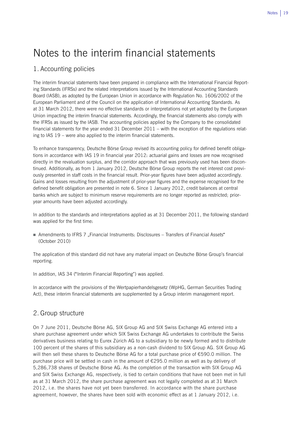## Notes to the interim financial statements

## 1. Accounting policies

The interim financial statements have been prepared in compliance with the International Financial Reporting Standards (IFRSs) and the related interpretations issued by the International Accounting Standards Board (IASB), as adopted by the European Union in accordance with Regulation No. 1606/2002 of the European Parliament and of the Council on the application of International Accounting Standards. As at 31 March 2012, there were no effective standards or interpretations not yet adopted by the European Union impacting the interim financial statements. Accordingly, the financial statements also comply with the IFRSs as issued by the IASB. The accounting policies applied by the Company to the consolidated financial statements for the year ended 31 December 2011 – with the exception of the regulations relating to IAS 19 – were also applied to the interim financial statements.

To enhance transparency, Deutsche Börse Group revised its accounting policy for defined benefit obligations in accordance with IAS 19 in financial year 2012: actuarial gains and losses are now recognised directly in the revaluation surplus, and the corridor approach that was previously used has been discontinued. Additionally, as from 1 January 2012, Deutsche Börse Group reports the net interest cost previously presented in staff costs in the financial result. Prior-year figures have been adjusted accordingly. Gains and losses resulting from the adjustment of prior-year figures and the expense recognised for the defined benefit obligation are presented in note 6. Since 1 January 2012, credit balances at central banks which are subject to minimum reserve requirements are no longer reported as restricted; prioryear amounts have been adjusted accordingly.

In addition to the standards and interpretations applied as at 31 December 2011, the following standard was applied for the first time:

Amendments to IFRS 7 "Financial Instruments: Disclosures – Transfers of Financial Assets" (October 2010)

The application of this standard did not have any material impact on Deutsche Börse Group's financial reporting.

In addition, IAS 34 ("Interim Financial Reporting") was applied.

In accordance with the provisions of the Wertpapierhandelsgesetz (WpHG, German Securities Trading Act), these interim financial statements are supplemented by a Group interim management report.

## 2. Group structure

On 7 June 2011, Deutsche Börse AG, SIX Group AG and SIX Swiss Exchange AG entered into a share purchase agreement under which SIX Swiss Exchange AG undertakes to contribute the Swiss derivatives business relating to Eurex Zürich AG to a subsidiary to be newly formed and to distribute 100 percent of the shares of this subsidiary as a non-cash dividend to SIX Group AG. SIX Group AG will then sell these shares to Deutsche Börse AG for a total purchase price of €590.0 million. The purchase price will be settled in cash in the amount of  $£295.0$  million as well as by delivery of 5,286,738 shares of Deutsche Börse AG. As the completion of the transaction with SIX Group AG and SIX Swiss Exchange AG, respectively, is tied to certain conditions that have not been met in full as at 31 March 2012, the share purchase agreement was not legally completed as at 31 March 2012, i.e. the shares have not yet been transferred. In accordance with the share purchase agreement, however, the shares have been sold with economic effect as at 1 January 2012, i.e.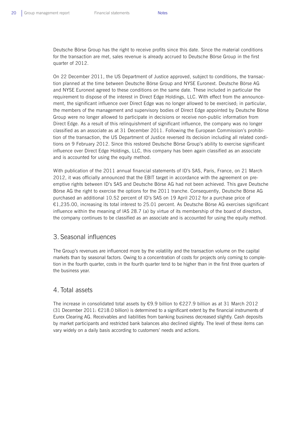Deutsche Börse Group has the right to receive profits since this date. Since the material conditions for the transaction are met, sales revenue is already accrued to Deutsche Börse Group in the first quarter of 2012.

On 22 December 2011, the US Department of Justice approved, subject to conditions, the transaction planned at the time between Deutsche Börse Group and NYSE Euronext. Deutsche Börse AG and NYSE Euronext agreed to these conditions on the same date. These included in particular the requirement to dispose of the interest in Direct Edge Holdings, LLC. With effect from the announcement, the significant influence over Direct Edge was no longer allowed to be exercised; in particular, the members of the management and supervisory bodies of Direct Edge appointed by Deutsche Börse Group were no longer allowed to participate in decisions or receive non-public information from Direct Edge. As a result of this relinquishment of significant influence, the company was no longer classified as an associate as at 31 December 2011. Following the European Commission's prohibition of the transaction, the US Department of Justice reversed its decision including all related conditions on 9 February 2012. Since this restored Deutsche Börse Group's ability to exercise significant influence over Direct Edge Holdings, LLC, this company has been again classified as an associate and is accounted for using the equity method.

With publication of the 2011 annual financial statements of ID's SAS, Paris, France, on 21 March 2012, it was officially announced that the EBIT target in accordance with the agreement on preemptive rights between ID's SAS and Deutsche Börse AG had not been achieved. This gave Deutsche Börse AG the right to exercise the options for the 2011 tranche. Consequently, Deutsche Börse AG purchased an additional 10.52 percent of ID's SAS on 19 April 2012 for a purchase price of €1,235.00, increasing its total interest to 25.01 percent. As Deutsche Börse AG exercises significant influence within the meaning of IAS 28.7 (a) by virtue of its membership of the board of directors, the company continues to be classified as an associate and is accounted for using the equity method.

## 3. Seasonal influences

The Group's revenues are influenced more by the volatility and the transaction volume on the capital markets than by seasonal factors. Owing to a concentration of costs for projects only coming to completion in the fourth quarter, costs in the fourth quarter tend to be higher than in the first three quarters of the business year.

## 4. Total assets

The increase in consolidated total assets by €9.9 billion to €227.9 billion as at 31 March 2012 (31 December 2011:  $\epsilon$ 218.0 billion) is determined to a significant extent by the financial instruments of Eurex Clearing AG. Receivables and liabilities from banking business decreased slightly. Cash deposits by market participants and restricted bank balances also declined slightly. The level of these items can vary widely on a daily basis according to customers' needs and actions.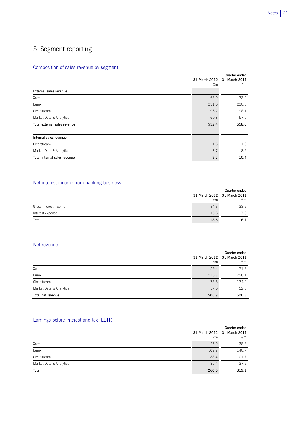## 5. Segment reporting

## Composition of sales revenue by segment

|                               | 31 March 2012<br>€m | Quarter ended<br>31 March 2011<br>€m |
|-------------------------------|---------------------|--------------------------------------|
| <b>External sales revenue</b> |                     |                                      |
| Xetra                         | 63.9                | 73.0                                 |
| Eurex                         | 231.0               | 230.0                                |
| Clearstream                   | 196.7               | 198.1                                |
| Market Data & Analytics       | 60.8                | 57.5                                 |
| Total external sales revenue  | 552.4               | 558.6                                |
| Internal sales revenue        |                     |                                      |
| Clearstream                   | 1.5                 | 1.8                                  |
| Market Data & Analytics       | 7.7                 | 8.6                                  |
| Total internal sales revenue  | 9.2                 | 10.4                                 |

## Net interest income from banking business

|                       |         | Quarter ended               |
|-----------------------|---------|-----------------------------|
|                       |         | 31 March 2012 31 March 2011 |
|                       | €m      | €m                          |
| Gross interest income | 34.3    | 33.9                        |
| Interest expense      | $-15.8$ | $-17.8$                     |
| Total                 | 18.5    | 16.1                        |

## Net revenue

|                         | €m    | Quarter ended<br>31 March 2012 31 March 2011<br>€m |
|-------------------------|-------|----------------------------------------------------|
| Xetra                   | 59.4  | 71.2                                               |
| Eurex                   | 216.7 | 228.1                                              |
| Clearstream             | 173.8 | 174.4                                              |
| Market Data & Analytics | 57.0  | 52.6                                               |
| Total net revenue       | 506.9 | 526.3                                              |

## Earnings before interest and tax (EBIT)

|                         | €m    | Quarter ended<br>31 March 2012 31 March 2011<br>€m |
|-------------------------|-------|----------------------------------------------------|
| Xetra                   | 27.0  | 38.8                                               |
| Eurex                   | 109.2 | 140.7                                              |
| Clearstream             | 88.4  | 101.7                                              |
| Market Data & Analytics | 35.4  | 37.9                                               |
| Total                   | 260.0 | 319.1                                              |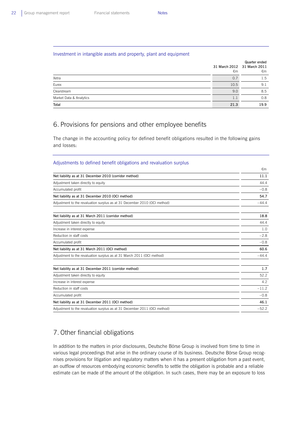## Investment in intangible assets and property, plant and equipment

|                         | 31 March 2012 31 March 2011<br>€m | Quarter ended<br>€m |
|-------------------------|-----------------------------------|---------------------|
| Xetra                   | 0.7                               | 1.5                 |
| Eurex                   | 10.5                              | 9.1                 |
| Clearstream             | 9.0                               | 8.5                 |
| Market Data & Analytics | 1.1                               | 0.8                 |
| Total                   | 21.3                              | 19.9                |

## 6. Provisions for pensions and other employee benefits

The change in the accounting policy for defined benefit obligations resulted in the following gains and losses:

## Adjustments to defined benefit obligations and revaluation surplus

|                                                                           | €m      |
|---------------------------------------------------------------------------|---------|
| Net liability as at 31 December 2010 (corridor method)                    | 11.1    |
| Adjustment taken directly to equity                                       | 44.4    |
| Accumulated profit                                                        | $-0.8$  |
| Net liability as at 31 December 2010 (OCI method)                         | 54.7    |
| Adjustment to the revaluation surplus as at 31 December 2010 (OCI method) | $-444$  |
| Net liability as at 31 March 2011 (corridor method)                       | 18.8    |
| Adjustment taken directly to equity                                       | 44.4    |
| Increase in interest expense                                              | 1.0     |
| Reduction in staff costs                                                  | $-2.8$  |
| Accumulated profit                                                        | $-0.8$  |
| Net liability as at 31 March 2011 (OCI method)                            | 60.6    |
| Adjustment to the revaluation surplus as at 31 March 2011 (OCI method)    | $-44.4$ |
| Net liability as at 31 December 2011 (corridor method)                    | 1.7     |
| Adjustment taken directly to equity                                       | 52.2    |
| Increase in interest expense                                              | 4.2     |
| Reduction in staff costs                                                  | $-11.2$ |
| Accumulated profit                                                        | $-0.8$  |
| Net liability as at 31 December 2011 (OCI method)                         | 46.1    |
| Adjustment to the revaluation surplus as at 31 December 2011 (OCI method) | $-52.2$ |

## 7. Other financial obligations

In addition to the matters in prior disclosures, Deutsche Börse Group is involved from time to time in various legal proceedings that arise in the ordinary course of its business. Deutsche Börse Group recognises provisions for litigation and regulatory matters when it has a present obligation from a past event, an outflow of resources embodying economic benefits to settle the obligation is probable and a reliable estimate can be made of the amount of the obligation. In such cases, there may be an exposure to loss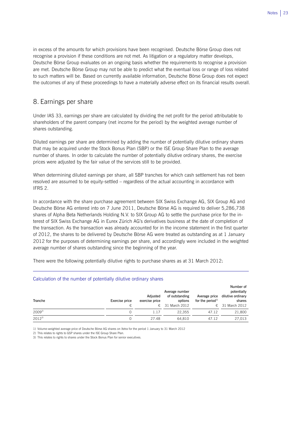in excess of the amounts for which provisions have been recognised. Deutsche Börse Group does not recognise a provision if these conditions are not met. As litigation or a regulatory matter develops, Deutsche Börse Group evaluates on an ongoing basis whether the requirements to recognise a provision are met. Deutsche Börse Group may not be able to predict what the eventual loss or range of loss related to such matters will be. Based on currently available information, Deutsche Börse Group does not expect the outcomes of any of these proceedings to have a materially adverse effect on its financial results overall.

## 8. Earnings per share

Under IAS 33, earnings per share are calculated by dividing the net profit for the period attributable to shareholders of the parent company (net income for the period) by the weighted average number of shares outstanding.

Diluted earnings per share are determined by adding the number of potentially dilutive ordinary shares that may be acquired under the Stock Bonus Plan (SBP) or the ISE Group Share Plan to the average number of shares. In order to calculate the number of potentially dilutive ordinary shares, the exercise prices were adjusted by the fair value of the services still to be provided.

When determining diluted earnings per share, all SBP tranches for which cash settlement has not been resolved are assumed to be equity-settled – regardless of the actual accounting in accordance with IFRS 2.

In accordance with the share purchase agreement between SIX Swiss Exchange AG, SIX Group AG and Deutsche Börse AG entered into on 7 June 2011, Deutsche Börse AG is required to deliver 5,286,738 shares of Alpha Beta Netherlands Holding N.V. to SIX Group AG to settle the purchase price for the interest of SIX Swiss Exchange AG in Eurex Zürich AG's derivatives business at the date of completion of the transaction. As the transaction was already accounted for in the income statement in the first quarter of 2012, the shares to be delivered by Deutsche Börse AG were treated as outstanding as at 1 January 2012 for the purposes of determining earnings per share, and accordingly were included in the weighted average number of shares outstanding since the beginning of the year.

There were the following potentially dilutive rights to purchase shares as at 31 March 2012:

## Calculation of the number of potentially dilutive ordinary shares

| Tranche    | Exercise price | Adiusted<br>exercise price | Average number<br>of outstanding<br>options<br>$\epsilon$ 31 March 2012 | Average price<br>for the period <sup>1)</sup> | Number of<br>potentially<br>dilutive ordinary<br>shares<br>$\epsilon$ 31 March 2012 |
|------------|----------------|----------------------------|-------------------------------------------------------------------------|-----------------------------------------------|-------------------------------------------------------------------------------------|
| $2009^{2}$ |                | 1.17                       | 22.355                                                                  | 47.12                                         | 21,800                                                                              |
| $2012^{3}$ |                | 27.48                      | 64.810                                                                  | 47.12                                         | 27.013                                                                              |

1) Volume-weighted average price of Deutsche Börse AG shares on Xetra for the period 1 January to 31 March 2012

2) This relates to rights to GSP shares under the ISE Group Share Plan.

 $\overline{a}$ 

3) This relates to rights to shares under the Stock Bonus Plan for senior executives.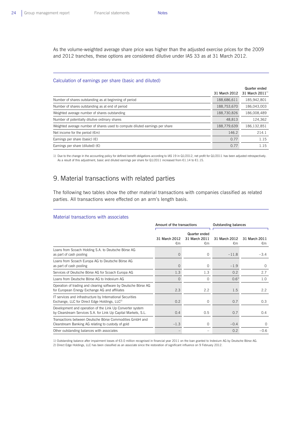As the volume-weighted average share price was higher than the adjusted exercise prices for the 2009 and 2012 tranches, these options are considered dilutive under IAS 33 as at 31 March 2012.

#### Calculation of earnings per share (basic and diluted)

|                                                                              | 31 March 2012 | Quarter ended<br>31 March 2011 $^{11}$ |
|------------------------------------------------------------------------------|---------------|----------------------------------------|
| Number of shares outstanding as at beginning of period                       | 188,686,611   | 185,942,801                            |
| Number of shares outstanding as at end of period                             | 188,753,670   | 186,043,003                            |
| Weighted average number of shares outstanding                                | 188,730,826   | 186,008,489                            |
| Number of potentially dilutive ordinary shares                               | 48,813        | 124,362                                |
| Weighted average number of shares used to compute diluted earnings per share | 188,779,639   | 186,132,851                            |
| Net income for the period $(\epsilon m)$                                     | 146.2         | 214.1                                  |
| Earnings per share (basic) $(\epsilon)$                                      | 0.77          | 1.15                                   |
| Earnings per share (diluted) $(\epsilon)$                                    | 0.77          | 1.15                                   |

1) Due to the change in the accounting policy for defined benefit obligations according to IAS 19 in Q1/2012, net profit for Q1/2011 has been adjusted retrospectively. As a result of this adjustment, basic and diluted earnings per share for Q1/2011 increased from €1.14 to €1.15.

## 9. Material transactions with related parties

The following two tables show the other material transactions with companies classified as related parties. All transactions were effected on an arm's length basis.

#### Material transactions with associates

|                                                                                                                             | Amount of the transactions |                                                | <b>Outstanding balances</b>   |                     |
|-----------------------------------------------------------------------------------------------------------------------------|----------------------------|------------------------------------------------|-------------------------------|---------------------|
|                                                                                                                             | 31 March 2012<br>€m        | Quarter ended<br>31 March 2011<br>$\epsilon$ m | 31 March 2012<br>$\epsilon$ m | 31 March 2011<br>€m |
| Loans from Scoach Holding S.A. to Deutsche Börse AG<br>as part of cash pooling                                              | $\Omega$                   | $\Omega$                                       | $-11.8$                       | $-3.4$              |
| Loans from Scoach Europa AG to Deutsche Börse AG<br>as part of cash pooling                                                 | $\Omega$                   | $\Omega$                                       | $-1.9$                        | $\Omega$            |
| Services of Deutsche Börse AG for Scoach Europa AG                                                                          | 1.3                        | 1.3                                            | 0.2                           | 2.7                 |
| Loans from Deutsche Börse AG to Indexium AG                                                                                 | $\Omega$                   | $\Omega$                                       | $0.6^{11}$                    | 1.0                 |
| Operation of trading and clearing software by Deutsche Börse AG<br>for European Energy Exchange AG and affiliates           | 2.3                        | 2.2                                            | 1.5                           | 2.2                 |
| IT services and infrastructure by International Securities<br>Exchange, LLC for Direct Edge Holdings, LLC <sup>2)</sup>     | 0.2                        | $\Omega$                                       | 0.7                           | 0.3                 |
| Development and operation of the Link Up Converter system<br>by Clearstream Services S.A. for Link Up Capital Markets, S.L. | 0.4                        | 0.5                                            | 0.7                           | 0.4                 |
| Transactions between Deutsche Börse Commodities GmbH and<br>Clearstream Banking AG relating to custody of gold              | $-1.3$                     | 0                                              | $-0.4$                        | 0                   |
| Other outstanding balances with associates                                                                                  |                            |                                                | 0.2                           | $-0.6$              |

1) Outstanding balance after impairment losses of €3.0 million recognised in financial year 2011 on the loan granted to Indexium AG by Deutsche Börse AG. 2) Direct Edge Holdings, LLC has been classified as an associate since the restoration of significant influence on 9 February 2012.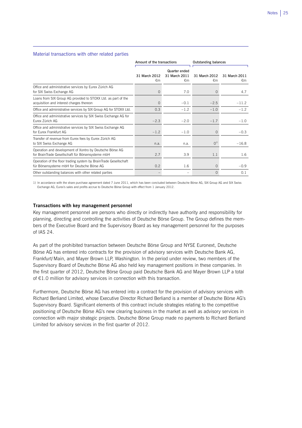### Material transactions with other related parties

|                                                                                                                 | Amount of the transactions |                                      | <b>Outstanding balances</b> |                     |
|-----------------------------------------------------------------------------------------------------------------|----------------------------|--------------------------------------|-----------------------------|---------------------|
|                                                                                                                 | 31 March 2012<br>€m        | Quarter ended<br>31 March 2011<br>€m | 31 March 2012<br>€m         | 31 March 2011<br>€m |
| Office and administrative services by Eurex Zürich AG<br>for SIX Swiss Exchange AG                              | $\Omega$                   | 7.0                                  | $\Omega$                    | 4.7                 |
| Loans from SIX Group AG provided to STOXX Ltd. as part of the<br>acquisition and interest charges thereon       | $\Omega$                   | $-0.1$                               | $-2.5$                      | $-11.2$             |
| Office and administrative services by SIX Group AG for STOXX Ltd.                                               | 0.3                        | $-1.2$                               | $-1.0$                      | $-1.2$              |
| Office and administrative services by SIX Swiss Exchange AG for<br>Furex Zürich AG                              | $-2.3$                     | $-2.0$                               | $-1.7$                      | $-1.0$              |
| Office and administrative services by SIX Swiss Exchange AG<br>for Eurex Frankfurt AG                           | $-1.2$                     | $-1.0$                               | $\Omega$                    | $-0.3$              |
| Transfer of revenue from Eurex fees by Eurex Zürich AG<br>to SIX Swiss Exchange AG                              | n.a.                       | n.a.                                 | $O^{1}$                     | $-16.8$             |
| Operation and development of Xontro by Deutsche Börse AG<br>for BrainTrade Gesellschaft für Börsensysteme mbH   | 2.7                        | 3.9                                  | 1.1                         | 1.6                 |
| Operation of the floor trading system by BrainTrade Gesellschaft<br>für Börsensysteme mbH for Deutsche Börse AG | 0.2                        | 1.6                                  | $\Omega$                    | $-0.9$              |
| Other outstanding balances with other related parties                                                           |                            |                                      | $\Omega$                    | 0.1                 |

1) In accordance with the share purchase agreement dated 7 June 2011, which has been concluded between Deutsche Börse AG, SIX Group AG and SIX Swiss Exchange AG, Eurex's sales and profits accrue to Deutsche Börse Group with effect from 1 January 2012.

## **Transactions with key management personnel**

Key management personnel are persons who directly or indirectly have authority and responsibility for planning, directing and controlling the activities of Deutsche Börse Group. The Group defines the members of the Executive Board and the Supervisory Board as key management personnel for the purposes of IAS 24.

As part of the prohibited transaction between Deutsche Börse Group and NYSE Euronext, Deutsche Börse AG has entered into contracts for the provision of advisory services with Deutsche Bank AG, Frankfurt/Main, and Mayer Brown LLP, Washington. In the period under review, two members of the Supervisory Board of Deutsche Börse AG also held key management positions in these companies. In the first quarter of 2012, Deutsche Börse Group paid Deutsche Bank AG and Mayer Brown LLP a total of €1.0 million for advisory services in connection with this transaction.

Furthermore, Deutsche Börse AG has entered into a contract for the provision of advisory services with Richard Berliand Limited, whose Executive Director Richard Berliand is a member of Deutsche Börse AG's Supervisory Board. Significant elements of this contract include strategies relating to the competitive positioning of Deutsche Börse AG's new clearing business in the market as well as advisory services in connection with major strategic projects. Deutsche Börse Group made no payments to Richard Berliand Limited for advisory services in the first quarter of 2012.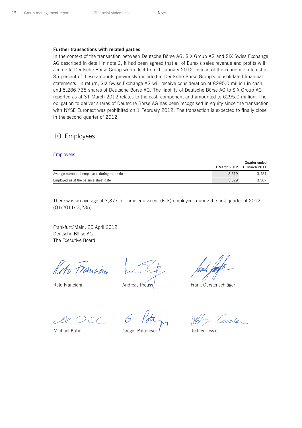#### **Further transactions with related parties**

In the context of the transaction between Deutsche Börse AG, SIX Group AG and SIX Swiss Exchange AG described in detail in note 2, it had been agreed that all of Eurex's sales revenue and profits will accrue to Deutsche Börse Group with effect from 1 January 2012 instead of the economic interest of 85 percent of these amounts previously included in Deutsche Börse Group's consolidated financial statements. In return, SIX Swiss Exchange AG will receive consideration of €295.0 million in cash and 5,286,738 shares of Deutsche Börse AG. The liability of Deutsche Börse AG to SIX Group AG reported as at 31 March 2012 relates to the cash component and amounted to €295.0 million. The obligation to deliver shares of Deutsche Börse AG has been recognised in equity since the transaction with NYSE Euronext was prohibited on 1 February 2012. The transaction is expected to finally close in the second quarter of 2012.

## 10. Employees

#### Employees

|                                               | 31 March 2012 31 March 2011 | Quarter ended |
|-----------------------------------------------|-----------------------------|---------------|
| Average number of employees during the period | 3.619                       | 3.481         |
| Employed as at the balance sheet date         | 3.629                       | 3.507         |

There was an average of 3,377 full-time equivalent (FTE) employees during the first quarter of 2012 (Q1/2011: 3,235).

Frankfurt/Main, 26 April 2012 Deutsche Börse AG The Executive Board

Reto Francian

Reto Francioni

Andreas Preuss

Frank Gerstenschläger

Michael Kuhn

**Gregor Pottmeyer** 

enster

Jeffrey Tessler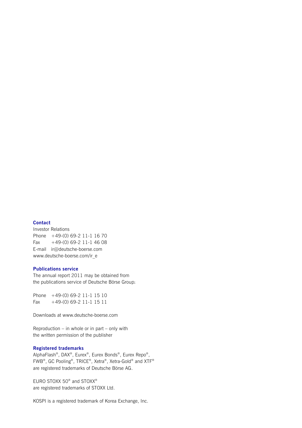### **Contact**

Investor Relations Phone +49-(0) 69-2 11-1 16 70 Fax  $+49-(0)$  69-2 11-1 46 08 E-mail ir@deutsche-boerse.com www.deutsche-boerse.com/ir\_e

## **Publications service**

The annual report 2011 may be obtained from the publications service of Deutsche Börse Group:

Phone +49-(0) 69-2 11-1 15 10 Fax  $+49-(0)$  69-2 11-1 15 11

Downloads at www.deutsche-boerse.com

Reproduction – in whole or in part – only with the written permission of the publisher

## **Registered trademarks**

AlphaFlash®, DAX®, Eurex®, Eurex Bonds®, Eurex Repo®, FWB®, GC Pooling®, TRICE®, Xetra®, Xetra-Gold® and XTF® are registered trademarks of Deutsche Börse AG.

EURO STOXX 50® and STOXX® are registered trademarks of STOXX Ltd.

KOSPI is a registered trademark of Korea Exchange, Inc.